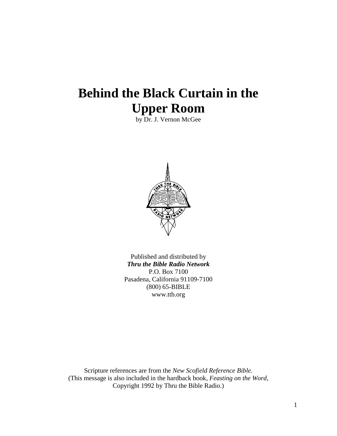# **Behind the Black Curtain in the Upper Room**

by Dr. J. Vernon McGee



Published and distributed by *Thru the Bible Radio Network* P.O. Box 7100 Pasadena, California 91109-7100 (800) 65-BIBLE www.ttb.org

Scripture references are from the *New Scofield Reference Bible*. (This message is also included in the hardback book, *Feasting on the Word*, Copyright 1992 by Thru the Bible Radio.)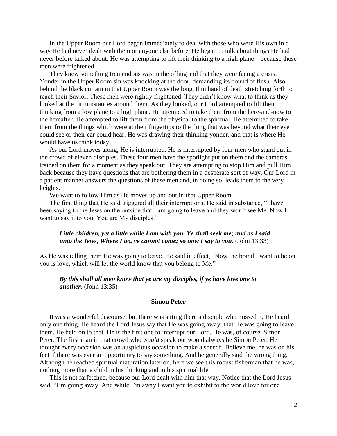In the Upper Room our Lord began immediately to deal with those who were His own in a way He had never dealt with them or anyone else before. He began to talk about things He had never before talked about. He was attempting to lift their thinking to a high plane – because these men were frightened.

They knew something tremendous was in the offing and that they were facing a crisis. Yonder in the Upper Room sin was knocking at the door, demanding its pound of flesh. Also behind the black curtain in that Upper Room was the long, thin hand of death stretching forth to reach their Savior. These men were rightly frightened. They didn't know what to think as they looked at the circumstances around them. As they looked, our Lord attempted to lift their thinking from a low plane to a high plane. He attempted to take them from the here-and-now to the hereafter. He attempted to lift them from the physical to the spiritual. He attempted to take them from the things which were at their fingertips to the thing that was beyond what their eye could see or their ear could hear. He was drawing their thinking yonder, and that is where He would have us think today.

As our Lord moves along, He is interrupted. He is interrupted by four men who stand out in the crowd of eleven disciples. These four men have the spotlight put on them and the cameras trained on them for a moment as they speak out. They are attempting to stop Him and pull Him back because they have questions that are bothering them in a desperate sort of way. Our Lord in a patient manner answers the questions of these men and, in doing so, leads them to the very heights.

We want to follow Him as He moves up and out in that Upper Room.

The first thing that He said triggered all their interruptions. He said in substance, "I have been saying to the Jews on the outside that I am going to leave and they won't see Me. Now I want to say it to you. You are My disciples."

#### *Little children, yet a little while I am with you. Ye shall seek me; and as I said unto the Jews, Where I go, ye cannot come; so now I say to you.* (John 13:33)

As He was telling them He was going to leave, He said in effect, "Now the brand I want to be on you is love, which will let the world know that you belong to Me."

### *By this shall all men know that ye are my disciples, if ye have love one to another.* (John 13:35)

## **Simon Peter**

It was a wonderful discourse, but there was sitting there a disciple who missed it. He heard only one thing. He heard the Lord Jesus say that He was going away, that He was going to leave them. He held on to that. He is the first one to interrupt our Lord. He was, of course, Simon Peter. The first man in that crowd who *would* speak out would always be Simon Peter. He thought every occasion was an auspicious occasion to make a speech. Believe me, he was on his feet if there was ever an opportunity to say something. And he generally said the wrong thing. Although he reached spiritual maturation later on, here we see this robust fisherman that he was, nothing more than a child in his thinking and in his spiritual life.

This is not farfetched, because our Lord dealt with him that way. Notice that the Lord Jesus said, "I'm going away. And while I'm away I want you to exhibit to the world love for one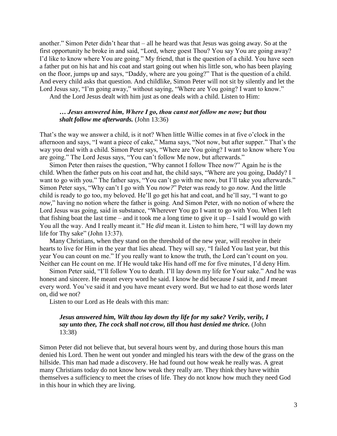another." Simon Peter didn't hear that – all he heard was that Jesus was going away. So at the first opportunity he broke in and said, "Lord, where goest Thou? You say You are going away? I'd like to know where You are going." My friend, that is the question of a child. You have seen a father put on his hat and his coat and start going out when his little son, who has been playing on the floor, jumps up and says, "Daddy, where are you going?" That is the question of a child. And every child asks that question. And childlike, Simon Peter will not sit by silently and let the Lord Jesus say, "I'm going away," without saying, "Where are You going? I want to know."

And the Lord Jesus dealt with him just as one deals with a child. Listen to Him:

## *… Jesus answered him, Where I go, thou canst not follow me now; but thou shalt follow me afterwards.* (John 13:36)

That's the way we answer a child, is it not? When little Willie comes in at five o'clock in the afternoon and says, "I want a piece of cake," Mama says, "Not now, but after supper." That's the way you deal with a child. Simon Peter says, "Where are You going? I want to know where You are going." The Lord Jesus says, "You can't follow Me now, but afterwards."

Simon Peter then raises the question, "Why cannot I follow Thee now?" Again he is the child. When the father puts on his coat and hat, the child says, "Where are you going, Daddy? I want to go with you." The father says, "You can't go with me now, but I'll take you afterwards." Simon Peter says, "Why can't I go with You *now?*" Peter was ready to go *now.* And the little child is ready to go too, my beloved. He'll go get his hat and coat, and he'll say, "I want to go *now,*" having no notion where the father is going. And Simon Peter, with no notion of where the Lord Jesus was going, said in substance, "Wherever You go I want to go with You. When I left that fishing boat the last time – and it took me a long time to give it  $up - I$  said I would go with You all the way. And I really meant it." He *did* mean it. Listen to him here, "I will lay down my life for Thy sake" (John 13:37).

Many Christians, when they stand on the threshold of the new year, will resolve in their hearts to live for Him in the year that lies ahead. They will say, "I failed You last year, but this year You can count on me." If you really want to know the truth, the Lord can't count on you. Neither can He count on me. If He would take His hand off me for five minutes, I'd deny Him.

Simon Peter said, "I'll follow You to death. I'll lay down my life for Your sake." And he was honest and sincere. He meant every word he said. I know he did because *I* said it, and *I* meant every word. You've said it and you have meant every word. But we had to eat those words later on, did we not?

Listen to our Lord as He deals with this man:

## *Jesus answered him, Wilt thou lay down thy life for my sake? Verily, verily, I say unto thee, The cock shall not crow, till thou hast denied me thrice.* (John 13:38)

Simon Peter did not believe that, but several hours went by, and during those hours this man denied his Lord. Then he went out yonder and mingled his tears with the dew of the grass on the hillside. This man had made a discovery. He had found out how weak he really was. A great many Christians today do not know how weak they really are. They think they have within themselves a sufficiency to meet the crises of life. They do not know how much they need God in this hour in which they are living.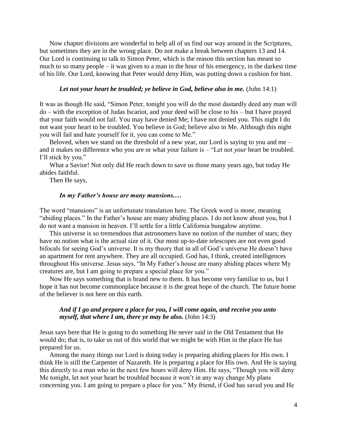Now chapter divisions are wonderful to help all of us find our way around in the Scriptures, but sometimes they are in the wrong place. Do not make a break between chapters 13 and 14. Our Lord is continuing to talk to Simon Peter, which is the reason this section has meant so much to so many people – it was given to a man in the hour of his emergency, in the darkest time of his life. Our Lord, knowing that Peter would deny Him, was putting down a cushion for him.

#### *Let not your heart be troubled; ye believe in God, believe also in me.* (John 14:1)

It was as though He said, "Simon Peter, tonight you will do the most dastardly deed any man will do – with the exception of Judas Iscariot, and your deed will be close to his – but I have prayed that your faith would not fail. You may have denied Me; I have not denied you. This night I do not want your heart to be troubled. You believe in God; believe also in Me. Although this night you will fail and hate yourself for it, you can come to Me."

Beloved, when we stand on the threshold of a new year, our Lord is saying to you and me – and it makes no difference who you are or what your failure is – "Let not *your* heart be troubled. I'll stick by you."

What a Savior! Not only did He reach down to save us those many years ago, but today He abides faithful.

Then He says,

#### *In my Father's house are many mansions.…*

The word "mansions" is an unfortunate translation here. The Greek word is *mone,* meaning "abiding places." In the Father's house are many abiding places. I do not know about you, but I do not want a mansion in heaven. I'll settle for a little California bungalow anytime.

This universe is so tremendous that astronomers have no notion of the number of stars; they have no notion what is the actual size of it. Our most up-to-date telescopes are not even good bifocals for seeing God's universe. It is my theory that in all of God's universe He doesn't have an apartment for rent anywhere. They are all occupied. God has, I think, created intelligences throughout His universe. Jesus says, "In My Father's house are many abiding places where My creatures are, but I am going to prepare a special place for you."

Now He says something that is brand new to them. It has become very familiar to us, but I hope it has not become commonplace because it is the great hope of the church. The future home of the believer is not here on this earth.

### *And if I go and prepare a place for you, I will come again, and receive you unto myself, that where I am, there ye may be also.* (John 14:3)

Jesus says here that He is going to do something He never said in the Old Testament that He would do; that is, to take us out of this world that we might be with Him in the place He has prepared for us.

Among the many things our Lord is doing today is preparing abiding places for His own. I think He is still the Carpenter of Nazareth. He is preparing a place for His own. And He is saying this directly to a man who in the next few hours will deny Him. He says, "Though you will deny Me tonight, let not your heart be troubled because it won't in any way change My plans concerning you. I am going to prepare a place for you." My friend, if God has saved you and He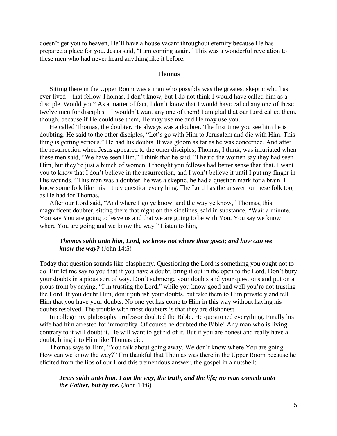doesn't get you to heaven, He'll have a house vacant throughout eternity because He has prepared a place for you. Jesus said, "I am coming again." This was a wonderful revelation to these men who had never heard anything like it before.

#### **Thomas**

Sitting there in the Upper Room was a man who possibly was the greatest skeptic who has ever lived – that fellow Thomas. I don't know, but I do not think I would have called him as a disciple. Would you? As a matter of fact, I don't know that I would have called any one of these twelve men for disciples – I wouldn't want any one of them! I am glad that our Lord called them, though, because if He could use them, He may use me and He may use you.

He called Thomas, the doubter. He always was a doubter. The first time you see him he is doubting. He said to the other disciples, "Let's go with Him to Jerusalem and die with Him. This thing is getting serious." He had his doubts. It was gloom as far as he was concerned. And after the resurrection when Jesus appeared to the other disciples, Thomas, I think, was infuriated when these men said, "We have seen Him." I think that he said, "I heard the women say they had seen Him, but they're just a bunch of women. I thought you fellows had better sense than that. I want you to know that I don't believe in the resurrection, and I won't believe it until I put my finger in His wounds." This man was a doubter, he was a skeptic, he had a question mark for a brain. I know some folk like this – they question everything. The Lord has the answer for these folk too, as He had for Thomas.

After our Lord said, "And where I go ye know, and the way ye know," Thomas, this magnificent doubter, sitting there that night on the sidelines, said in substance, "Wait a minute. You say You are going to leave us and that we are going to be with You. You say we know where You are going and we know the way." Listen to him,

### *Thomas saith unto him, Lord, we know not where thou goest; and how can we know the way?* (John 14:5)

Today that question sounds like blasphemy. Questioning the Lord is something you ought not to do. But let me say to you that if you have a doubt, bring it out in the open to the Lord. Don't bury your doubts in a pious sort of way. Don't submerge your doubts and your questions and put on a pious front by saying, "I'm trusting the Lord," while you know good and well you're not trusting the Lord. If you doubt Him, don't publish your doubts, but take them to Him privately and tell Him that you have your doubts. No one yet has come to Him in this way without having his doubts resolved. The trouble with most doubters is that they are dishonest.

In college my philosophy professor doubted the Bible. He questioned everything. Finally his wife had him arrested for immorality. Of course he doubted the Bible! Any man who is living contrary to it will doubt it. He will want to get rid of it. But if you are honest and really have a doubt, bring it to Him like Thomas did.

Thomas says to Him, "You talk about going away. We don't know where You are going. How can we know the way?" I'm thankful that Thomas was there in the Upper Room because he elicited from the lips of our Lord this tremendous answer, the gospel in a nutshell:

*Jesus saith unto him, I am the way, the truth, and the life; no man cometh unto the Father, but by me.* (John 14:6)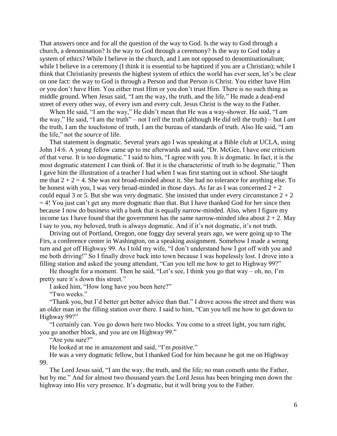That answers once and for all the question of the way to God. Is the way to God through a church, a denomination? Is the way to God through a ceremony? Is the way to God today a system of ethics? While I believe in the church, and I am not opposed to denominationalism; while I believe in a ceremony (I think it is essential to be baptized if you are a Christian); while I think that Christianity presents the highest system of ethics the world has ever seen, let's be clear on one fact: the way to God is through a Person and that Person is Christ. You either have Him or you don't have Him. You either trust Him or you don't trust Him. There is no such thing as middle ground. When Jesus said, "I am the way, the truth, and the life," He made a dead-end street of every other way, of every ism and every cult. Jesus Christ is the way to the Father.

When He said, "I am the way," He didn't mean that He was a way-shower. He said, "I *am* the way." He said, "I am the truth" – not I *tell* the truth (although He did tell the truth) – but I *am* the truth, I am the touchstone of truth, I am the bureau of standards of truth. Also He said, "I am the life," not the *source* of life.

That statement is dogmatic. Several years ago I was speaking at a Bible club at UCLA, using John 14:6. A young fellow came up to me afterwards and said, "Dr. McGee, I have one criticism of that verse. It is too dogmatic." I said to him, "I agree with you. It is dogmatic. In fact, it is the most dogmatic statement I can think of. But it is the characteristic of truth to be dogmatic." Then I gave him the illustration of a teacher I had when I was first starting out in school. She taught me that  $2 + 2 = 4$ . She was not broad-minded about it. She had no tolerance for anything else. To be honest with you, I was very broad-minded in those days. As far as I was concerned  $2 + 2$ could equal 3 or 5. But she was very dogmatic. She insisted that under every circumstance  $2 + 2$ = 4! You just can't get any more dogmatic than that. But I have thanked God for her since then because I now do business with a bank that is equally narrow-minded. Also, when I figure my income tax I have found that the government has the same narrow-minded idea about  $2 + 2$ . May I say to you, my beloved, truth is always dogmatic. And if it's not dogmatic, it's not truth.

Driving out of Portland, Oregon, one foggy day several years ago, we were going up to The Firs, a conference center in Washington, on a speaking assignment. Somehow I made a wrong turn and got off Highway 99. As I told my wife, "I don't understand how I got off with you and me both driving!" So I finally drove back into town because I was hopelessly lost. I drove into a filling station and asked the young attendant, "Can you tell me how to get to Highway 99?"

He thought for a moment. Then he said, "Let's see, I think you go that way – oh, no, I'm pretty sure it's down this street."

I asked him, "How long have you been here?"

"Two weeks."

"Thank you, but I'd better get better advice than that." I drove across the street and there was an older man in the filling station over there. I said to him, "Can you tell me how to get down to Highway 99?"

"I certainly can. You go down here two blocks. You come to a street light, you turn right, you go another block, and you are on Highway 99."

"Are you sure?"

He looked at me in amazement and said, "I'm *positive.*"

He was a very dogmatic fellow, but I thanked God for him because he got me on Highway 99.

The Lord Jesus said, "I am the way, the truth, and the life; no man cometh unto the Father, but by me." And for almost two thousand years the Lord Jesus has been bringing men down the highway into His very presence. It's dogmatic, but it will bring you to the Father.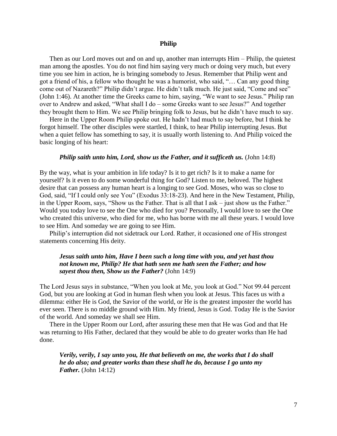#### **Philip**

Then as our Lord moves out and on and up, another man interrupts  $\text{Him}$  – Philip, the quietest man among the apostles. You do not find him saying very much or doing very much, but every time you see him in action, he is bringing somebody to Jesus. Remember that Philip went and got a friend of his, a fellow who thought he was a humorist, who said, "… Can any good thing come out of Nazareth?" Philip didn't argue. He didn't talk much. He just said, "Come and see" (John 1:46). At another time the Greeks came to him, saying, "We want to see Jesus." Philip ran over to Andrew and asked, "What shall I do – some Greeks want to see Jesus?" And together they brought them to Him. We see Philip bringing folk to Jesus, but he didn't have much to say.

Here in the Upper Room Philip spoke out. He hadn't had much to say before, but I think he forgot himself. The other disciples were startled, I think, to hear Philip interrupting Jesus. But when a quiet fellow has something to say, it is usually worth listening to. And Philip voiced the basic longing of his heart:

#### *Philip saith unto him, Lord, show us the Father, and it sufficeth us.* (John 14:8)

By the way, what is your ambition in life today? Is it to get rich? Is it to make a name for yourself? Is it even to do some wonderful thing for God? Listen to me, beloved. The highest desire that can possess any human heart is a longing to see God. Moses, who was so close to God, said, "If I could only see You" (Exodus 33:18-23). And here in the New Testament, Philip, in the Upper Room, says, "Show us the Father. That is all that I ask – just show us the Father." Would you today love to see the One who died for you? Personally, I would love to see the One who created this universe, who died for me, who has borne with me all these years. I would love to see Him. And someday we are going to see Him.

Philip's interruption did not sidetrack our Lord. Rather, it occasioned one of His strongest statements concerning His deity.

## *Jesus saith unto him, Have I been such a long time with you, and yet hast thou not known me, Philip? He that hath seen me hath seen the Father; and how sayest thou then, Show us the Father?* (John 14:9)

The Lord Jesus says in substance, "When you look at Me, you look at God." Not 99.44 percent God, but you are looking at God in human flesh when you look at Jesus. This faces us with a dilemma: either He is God, the Savior of the world, or He is the greatest imposter the world has ever seen. There is no middle ground with Him. My friend, Jesus is God. Today He is the Savior of the world. And someday we shall see Him.

There in the Upper Room our Lord, after assuring these men that He was God and that He was returning to His Father, declared that they would be able to do greater works than He had done.

*Verily, verily, I say unto you, He that believeth on me, the works that I do shall he do also; and greater works than these shall he do, because I go unto my Father.* (John 14:12)